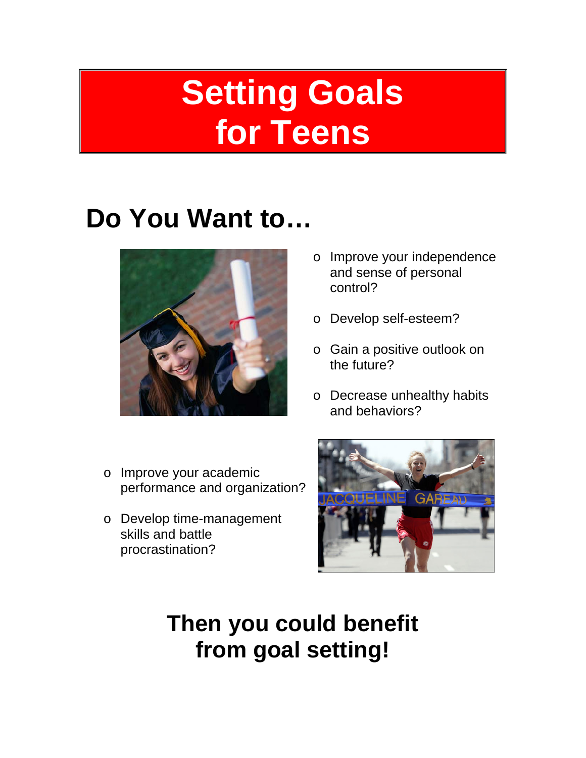# **Setting Goals for Teens**

## **Do You Want to…**



- o Improve your independence and sense of personal control?
- o Develop self-esteem?
- o Gain a positive outlook on the future?
- o Decrease unhealthy habits and behaviors?
- o Improve your academic performance and organization?
- o Develop time-management skills and battle procrastination?



**Then you could benefit from goal setting!**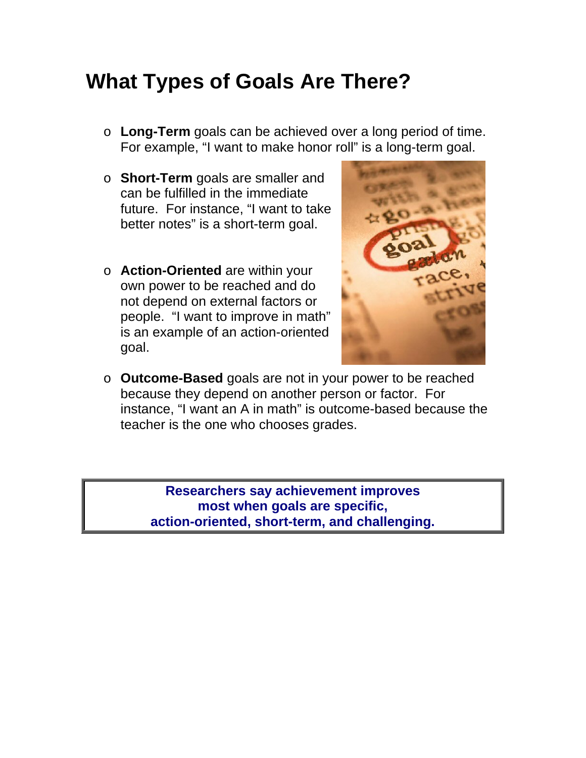#### **What Types of Goals Are There?**

- o **Long-Term** goals can be achieved over a long period of time. For example, "I want to make honor roll" is a long-term goal.
- o **Short-Term** goals are smaller and can be fulfilled in the immediate future. For instance, "I want to take better notes" is a short-term goal.
- o **Action-Oriented** are within your own power to be reached and do not depend on external factors or people. "I want to improve in math" is an example of an action-oriented goal.



o **Outcome-Based** goals are not in your power to be reached because they depend on another person or factor. For instance, "I want an A in math" is outcome-based because the teacher is the one who chooses grades.

> **Researchers say achievement improves most when goals are specific, action-oriented, short-term, and challenging.**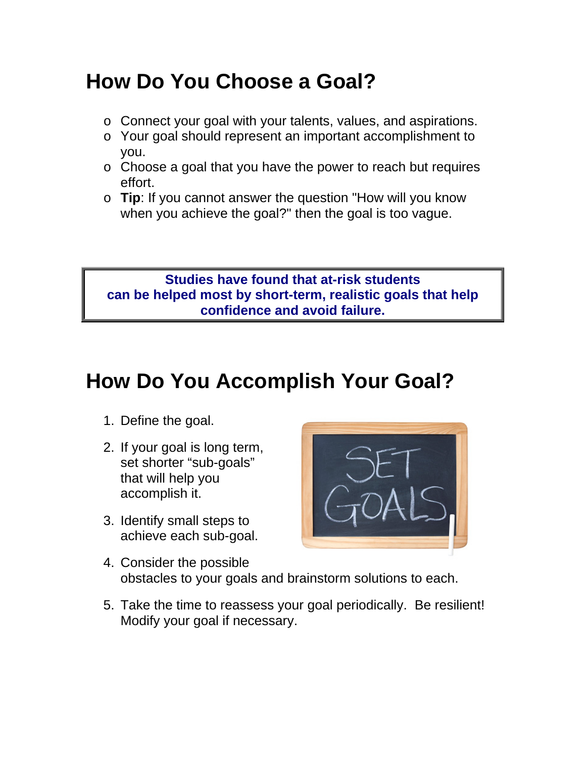### **How Do You Choose a Goal?**

- o Connect your goal with your talents, values, and aspirations.
- o Your goal should represent an important accomplishment to you.
- o Choose a goal that you have the power to reach but requires effort.
- o **Tip**: If you cannot answer the question "How will you know when you achieve the goal?" then the goal is too vague.

#### **Studies have found that at-risk students can be helped most by short-term, realistic goals that help confidence and avoid failure.**

### **How Do You Accomplish Your Goal?**

- 1. Define the goal.
- 2. If your goal is long term, set shorter "sub-goals" that will help you accomplish it.
- 3. Identify small steps to achieve each sub-goal.



- 4. Consider the possible obstacles to your goals and brainstorm solutions to each.
- 5. Take the time to reassess your goal periodically. Be resilient! Modify your goal if necessary.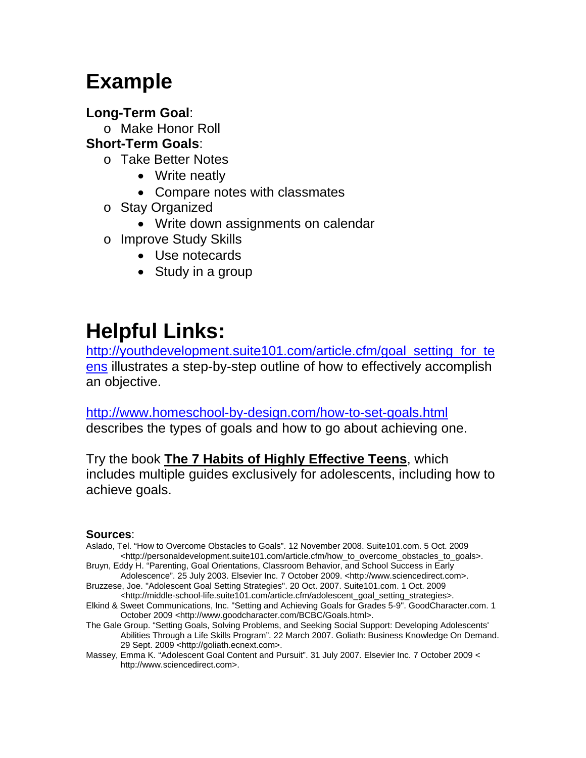### **Example**

#### **Long-Term Goal**:

o Make Honor Roll

#### **Short-Term Goals**:

- o Take Better Notes
	- Write neatly
	- Compare notes with classmates
- o Stay Organized
	- Write down assignments on calendar
- o Improve Study Skills
	- Use notecards
	- Study in a group

### **Helpful Links:**

[http://youthdevelopment.suite101.com/article.cfm/goal\\_setting\\_for\\_te](http://youthdevelopment.suite101.com/article.cfm/goal_setting_for_teens) [ens](http://youthdevelopment.suite101.com/article.cfm/goal_setting_for_teens) illustrates a step-by-step outline of how to effectively accomplish an objective.

<http://www.homeschool-by-design.com/how-to-set-goals.html> describes the types of goals and how to go about achieving one.

Try the book **[The 7 Habits of Highly Effective Teens](http://books.simonandschuster.com/7-Habits-Of-Highly-Effective-Teens/Sean-Covey/9780684856094)**, which includes multiple guides exclusively for adolescents, including how to achieve goals.

#### **Sources**:

Aslado, Tel. "How to Overcome Obstacles to Goals". 12 November 2008. Suite101.com. 5 Oct. 2009 <http://personaldevelopment.suite101.com/article.cfm/how\_to\_overcome\_obstacles\_to\_goals>.

Bruyn, Eddy H. "Parenting, Goal Orientations, Classroom Behavior, and School Success in Early Adolescence". 25 July 2003. Elsevier Inc. 7 October 2009. <http://www.sciencedirect.com>.

- Bruzzese, Joe. "Adolescent Goal Setting Strategies". 20 Oct. 2007. Suite101.com. 1 Oct. 2009 <http://middle-school-life.suite101.com/article.cfm/adolescent\_goal\_setting\_strategies>.
- Elkind & Sweet Communications, Inc. "Setting and Achieving Goals for Grades 5-9". GoodCharacter.com. 1 October 2009 <http://www.goodcharacter.com/BCBC/Goals.html>.
- The Gale Group. "Setting Goals, Solving Problems, and Seeking Social Support: Developing Adolescents' Abilities Through a Life Skills Program". 22 March 2007. Goliath: Business Knowledge On Demand. 29 Sept. 2009 <http://goliath.ecnext.com>.
- Massey, Emma K. "Adolescent Goal Content and Pursuit". 31 July 2007. Elsevier Inc. 7 October 2009 < http://www.sciencedirect.com>.